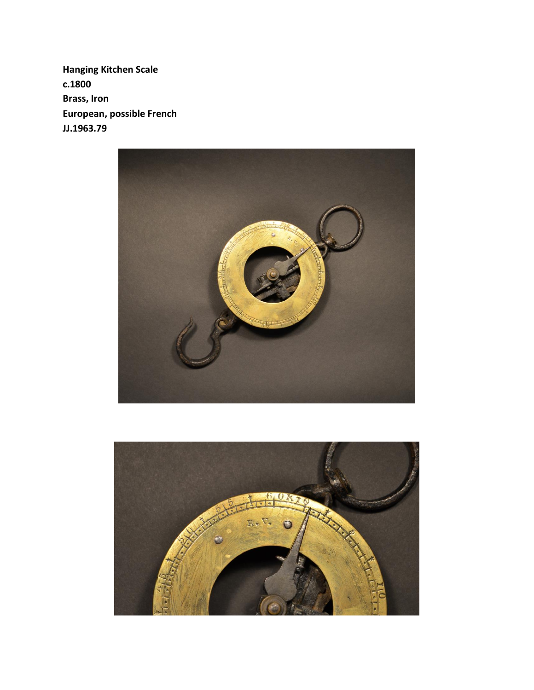**Hanging Kitchen Scale c.1800 Brass, Iron European, possible French JJ.1963.79**



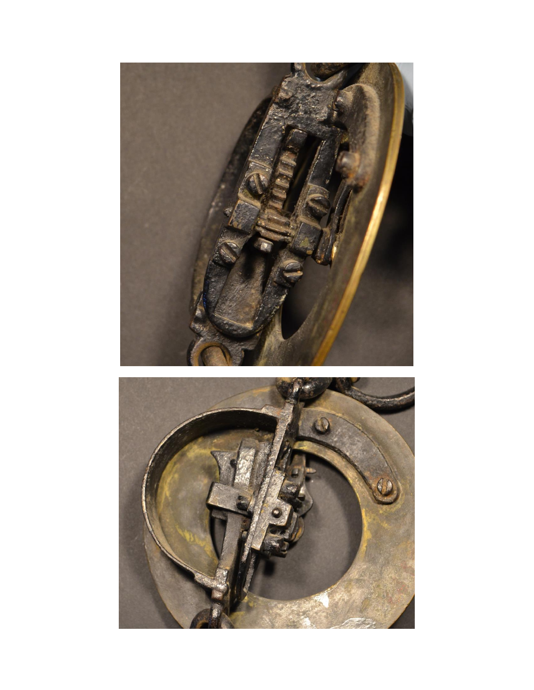